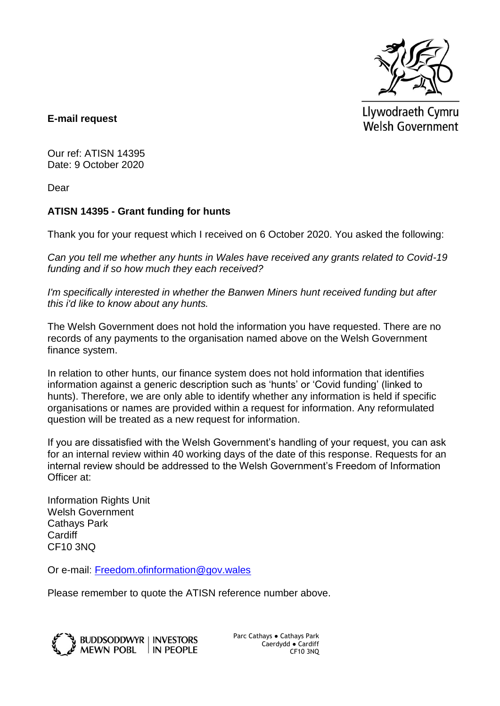

Llywodraeth Cymru Welsh Government

**E-mail request**

Our ref: ATISN 14395 Date: 9 October 2020

Dear

## **ATISN 14395 - Grant funding for hunts**

Thank you for your request which I received on 6 October 2020. You asked the following:

*Can you tell me whether any hunts in Wales have received any grants related to Covid-19 funding and if so how much they each received?*

*I'm specifically interested in whether the Banwen Miners hunt received funding but after this i'd like to know about any hunts.*

The Welsh Government does not hold the information you have requested. There are no records of any payments to the organisation named above on the Welsh Government finance system.

In relation to other hunts, our finance system does not hold information that identifies information against a generic description such as 'hunts' or 'Covid funding' (linked to hunts). Therefore, we are only able to identify whether any information is held if specific organisations or names are provided within a request for information. Any reformulated question will be treated as a new request for information.

If you are dissatisfied with the Welsh Government's handling of your request, you can ask for an internal review within 40 working days of the date of this response. Requests for an internal review should be addressed to the Welsh Government's Freedom of Information Officer at:

Information Rights Unit Welsh Government Cathays Park Cardiff CF10 3NQ

Or e-mail: [Freedom.ofinformation@gov.wales](mailto:Freedom.ofinformation@gov.wales)

Please remember to quote the ATISN reference number above.



Parc Cathays ● Cathays Park Caerdydd ● Cardiff CF10 3NQ